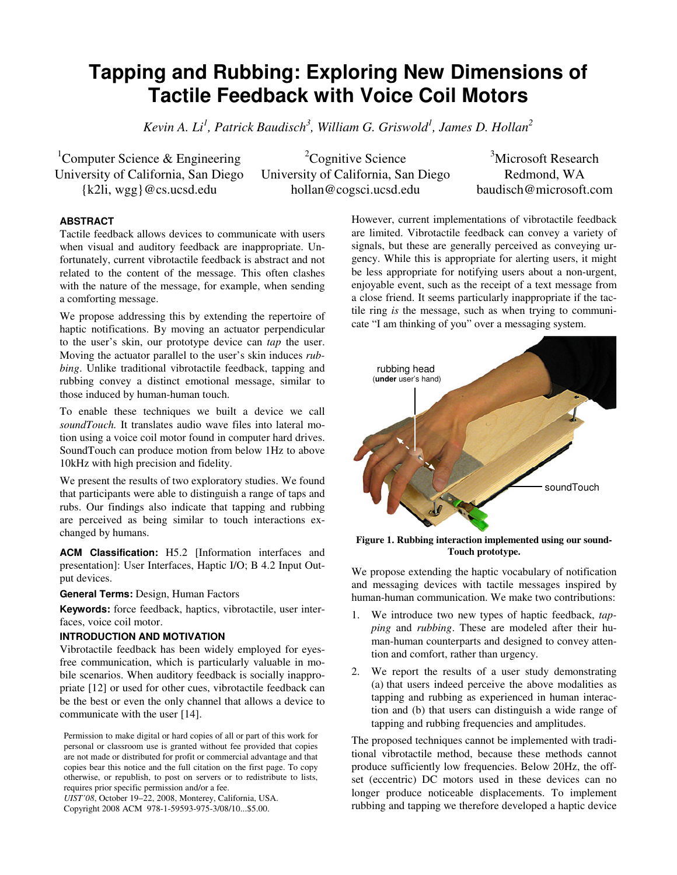# **Tapping and Rubbing: Exploring New Dimensions of Tactile Feedback with Voice Coil Motors**

*Kevin A. Li<sup>1</sup> , Patrick Baudisch<sup>3</sup> , William G. Griswold<sup>1</sup> , James D. Hollan<sup>2</sup>*

<sup>1</sup>Computer Science & Engineering University of California, San Diego {k2li, wgg}@cs.ucsd.edu

 ${}^{2}$ Cognitive Science University of California, San Diego hollan@cogsci.ucsd.edu

<sup>3</sup>Microsoft Research Redmond, WA baudisch@microsoft.com

# **ABSTRACT**

Tactile feedback allows devices to communicate with users when visual and auditory feedback are inappropriate. Unfortunately, current vibrotactile feedback is abstract and not related to the content of the message. This often clashes with the nature of the message, for example, when sending a comforting message.

We propose addressing this by extending the repertoire of haptic notifications. By moving an actuator perpendicular to the user's skin, our prototype device can *tap* the user. Moving the actuator parallel to the user's skin induces *rubbing*. Unlike traditional vibrotactile feedback, tapping and rubbing convey a distinct emotional message, similar to those induced by human-human touch.

To enable these techniques we built a device we call *soundTouch.* It translates audio wave files into lateral motion using a voice coil motor found in computer hard drives. SoundTouch can produce motion from below 1Hz to above 10kHz with high precision and fidelity.

We present the results of two exploratory studies. We found that participants were able to distinguish a range of taps and rubs. Our findings also indicate that tapping and rubbing are perceived as being similar to touch interactions exchanged by humans.

**ACM Classification:** H5.2 [Information interfaces and presentation]: User Interfaces, Haptic I/O; B 4.2 Input Output devices.

**General Terms:** Design, Human Factors

**Keywords:** force feedback, haptics, vibrotactile, user interfaces, voice coil motor.

## **INTRODUCTION AND MOTIVATION**

Vibrotactile feedback has been widely employed for eyesfree communication, which is particularly valuable in mobile scenarios. When auditory feedback is socially inappropriate [12] or used for other cues, vibrotactile feedback can be the best or even the only channel that allows a device to communicate with the user [14].

Permission to make digital or hard copies of all or part of this work for personal or classroom use is granted without fee provided that copies are not made or distributed for profit or commercial advantage and that copies bear this notice and the full citation on the first page. To copy otherwise, or republish, to post on servers or to redistribute to lists, requires prior specific permission and/or a fee.

*UIST'08*, October 19–22, 2008, Monterey, California, USA. Copyright 2008 ACM 978-1-59593-975-3/08/10...\$5.00.

However, current implementations of vibrotactile feedback are limited. Vibrotactile feedback can convey a variety of signals, but these are generally perceived as conveying urgency. While this is appropriate for alerting users, it might be less appropriate for notifying users about a non-urgent, enjoyable event, such as the receipt of a text message from a close friend. It seems particularly inappropriate if the tactile ring *is* the message, such as when trying to communicate "I am thinking of you" over a messaging system.



**Figure 1. Rubbing interaction implemented using our sound-Touch prototype.** 

We propose extending the haptic vocabulary of notification and messaging devices with tactile messages inspired by human-human communication. We make two contributions:

- 1. We introduce two new types of haptic feedback, *tapping* and *rubbing*. These are modeled after their human-human counterparts and designed to convey attention and comfort, rather than urgency.
- 2. We report the results of a user study demonstrating (a) that users indeed perceive the above modalities as tapping and rubbing as experienced in human interaction and (b) that users can distinguish a wide range of tapping and rubbing frequencies and amplitudes.

The proposed techniques cannot be implemented with traditional vibrotactile method, because these methods cannot produce sufficiently low frequencies. Below 20Hz, the offset (eccentric) DC motors used in these devices can no longer produce noticeable displacements. To implement rubbing and tapping we therefore developed a haptic device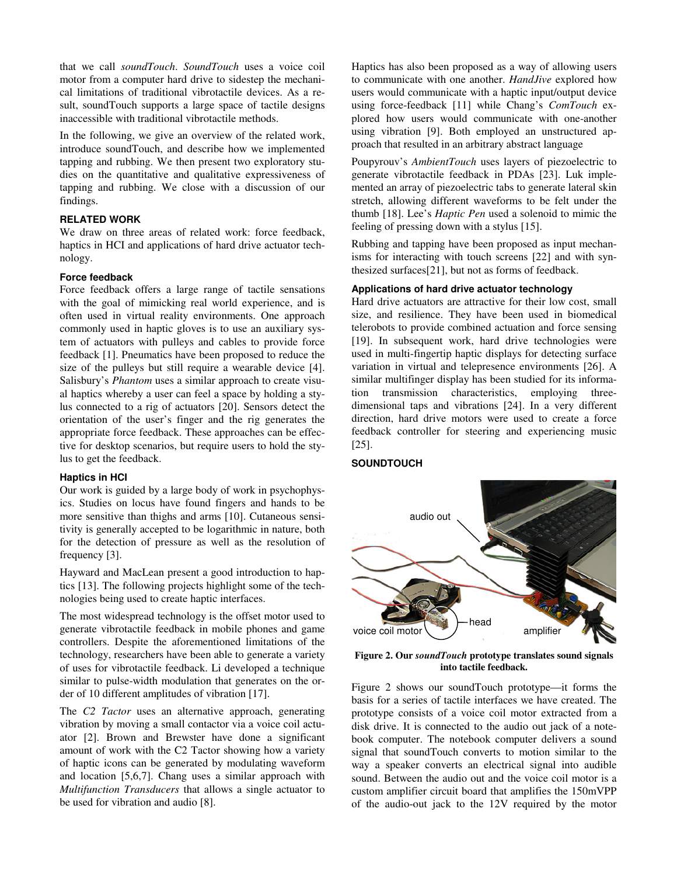that we call *soundTouch*. *SoundTouch* uses a voice coil motor from a computer hard drive to sidestep the mechanical limitations of traditional vibrotactile devices. As a result, soundTouch supports a large space of tactile designs inaccessible with traditional vibrotactile methods.

In the following, we give an overview of the related work, introduce soundTouch, and describe how we implemented tapping and rubbing. We then present two exploratory studies on the quantitative and qualitative expressiveness of tapping and rubbing. We close with a discussion of our findings.

## **RELATED WORK**

We draw on three areas of related work: force feedback, haptics in HCI and applications of hard drive actuator technology.

#### **Force feedback**

Force feedback offers a large range of tactile sensations with the goal of mimicking real world experience, and is often used in virtual reality environments. One approach commonly used in haptic gloves is to use an auxiliary system of actuators with pulleys and cables to provide force feedback [1]. Pneumatics have been proposed to reduce the size of the pulleys but still require a wearable device [4]. Salisbury's *Phantom* uses a similar approach to create visual haptics whereby a user can feel a space by holding a stylus connected to a rig of actuators [20]. Sensors detect the orientation of the user's finger and the rig generates the appropriate force feedback. These approaches can be effective for desktop scenarios, but require users to hold the stylus to get the feedback.

#### **Haptics in HCI**

Our work is guided by a large body of work in psychophysics. Studies on locus have found fingers and hands to be more sensitive than thighs and arms [10]. Cutaneous sensitivity is generally accepted to be logarithmic in nature, both for the detection of pressure as well as the resolution of frequency [3].

Hayward and MacLean present a good introduction to haptics [13]. The following projects highlight some of the technologies being used to create haptic interfaces.

The most widespread technology is the offset motor used to generate vibrotactile feedback in mobile phones and game controllers. Despite the aforementioned limitations of the technology, researchers have been able to generate a variety of uses for vibrotactile feedback. Li developed a technique similar to pulse-width modulation that generates on the order of 10 different amplitudes of vibration [17].

The *C2 Tactor* uses an alternative approach, generating vibration by moving a small contactor via a voice coil actuator [2]. Brown and Brewster have done a significant amount of work with the C2 Tactor showing how a variety of haptic icons can be generated by modulating waveform and location [5,6,7]. Chang uses a similar approach with *Multifunction Transducers* that allows a single actuator to be used for vibration and audio [8].

Haptics has also been proposed as a way of allowing users to communicate with one another. *HandJive* explored how users would communicate with a haptic input/output device using force-feedback [11] while Chang's *ComTouch* explored how users would communicate with one-another using vibration [9]. Both employed an unstructured approach that resulted in an arbitrary abstract language

Poupyrouv's *AmbientTouch* uses layers of piezoelectric to generate vibrotactile feedback in PDAs [23]. Luk implemented an array of piezoelectric tabs to generate lateral skin stretch, allowing different waveforms to be felt under the thumb [18]. Lee's *Haptic Pen* used a solenoid to mimic the feeling of pressing down with a stylus [15].

Rubbing and tapping have been proposed as input mechanisms for interacting with touch screens [22] and with synthesized surfaces[21], but not as forms of feedback.

# **Applications of hard drive actuator technology**

Hard drive actuators are attractive for their low cost, small size, and resilience. They have been used in biomedical telerobots to provide combined actuation and force sensing [19]. In subsequent work, hard drive technologies were used in multi-fingertip haptic displays for detecting surface variation in virtual and telepresence environments [26]. A similar multifinger display has been studied for its information transmission characteristics, employing threedimensional taps and vibrations [24]. In a very different direction, hard drive motors were used to create a force feedback controller for steering and experiencing music [25].

#### **SOUNDTOUCH**



**Figure 2. Our** *soundTouch* **prototype translates sound signals into tactile feedback.** 

Figure 2 shows our soundTouch prototype—it forms the basis for a series of tactile interfaces we have created. The prototype consists of a voice coil motor extracted from a disk drive. It is connected to the audio out jack of a notebook computer. The notebook computer delivers a sound signal that soundTouch converts to motion similar to the way a speaker converts an electrical signal into audible sound. Between the audio out and the voice coil motor is a custom amplifier circuit board that amplifies the 150mVPP of the audio-out jack to the 12V required by the motor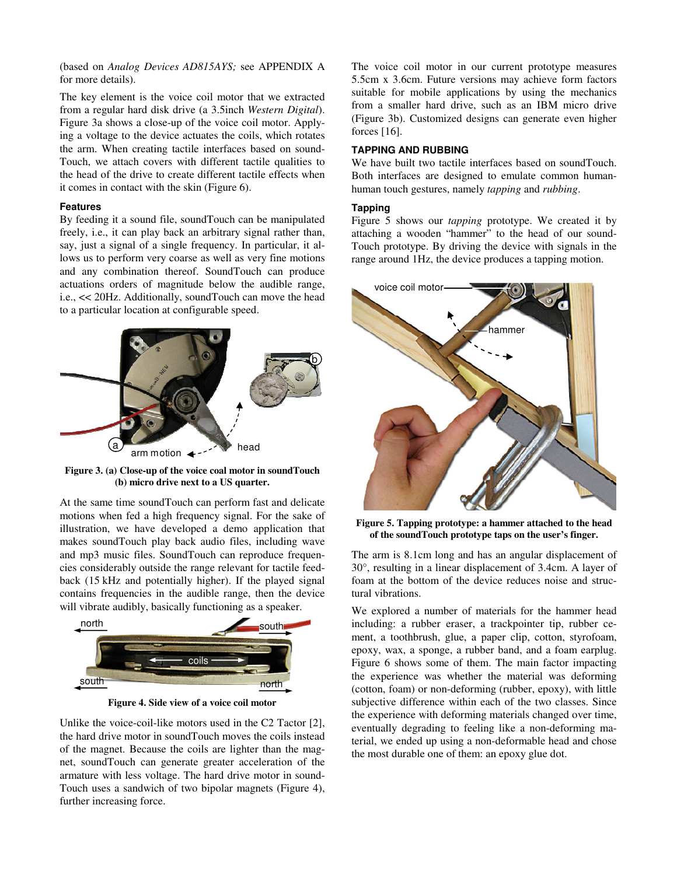(based on *Analog Devices AD815AYS;* see APPENDIX A for more details).

The key element is the voice coil motor that we extracted from a regular hard disk drive (a 3.5inch *Western Digital*). Figure 3a shows a close-up of the voice coil motor. Applying a voltage to the device actuates the coils, which rotates the arm. When creating tactile interfaces based on sound-Touch, we attach covers with different tactile qualities to the head of the drive to create different tactile effects when it comes in contact with the skin (Figure 6).

#### **Features**

By feeding it a sound file, soundTouch can be manipulated freely, i.e., it can play back an arbitrary signal rather than, say, just a signal of a single frequency. In particular, it allows us to perform very coarse as well as very fine motions and any combination thereof. SoundTouch can produce actuations orders of magnitude below the audible range, i.e., << 20Hz. Additionally, soundTouch can move the head to a particular location at configurable speed.



**Figure 3. (a) Close-up of the voice coal motor in soundTouch (b) micro drive next to a US quarter.** 

At the same time soundTouch can perform fast and delicate motions when fed a high frequency signal. For the sake of illustration, we have developed a demo application that makes soundTouch play back audio files, including wave and mp3 music files. SoundTouch can reproduce frequencies considerably outside the range relevant for tactile feedback (15 kHz and potentially higher). If the played signal contains frequencies in the audible range, then the device will vibrate audibly, basically functioning as a speaker.



**Figure 4. Side view of a voice coil motor** 

Unlike the voice-coil-like motors used in the C2 Tactor [2], the hard drive motor in soundTouch moves the coils instead of the magnet. Because the coils are lighter than the magnet, soundTouch can generate greater acceleration of the armature with less voltage. The hard drive motor in sound-Touch uses a sandwich of two bipolar magnets (Figure 4), further increasing force.

The voice coil motor in our current prototype measures 5.5cm x 3.6cm. Future versions may achieve form factors suitable for mobile applications by using the mechanics from a smaller hard drive, such as an IBM micro drive (Figure 3b). Customized designs can generate even higher forces [16].

## **TAPPING AND RUBBING**

We have built two tactile interfaces based on soundTouch. Both interfaces are designed to emulate common humanhuman touch gestures, namely *tapping* and *rubbing*.

## **Tapping**

Figure 5 shows our *tapping* prototype. We created it by attaching a wooden "hammer" to the head of our sound-Touch prototype. By driving the device with signals in the range around 1Hz, the device produces a tapping motion.



**Figure 5. Tapping prototype: a hammer attached to the head of the soundTouch prototype taps on the user's finger.** 

The arm is 8.1cm long and has an angular displacement of 30°, resulting in a linear displacement of 3.4cm. A layer of foam at the bottom of the device reduces noise and structural vibrations.

We explored a number of materials for the hammer head including: a rubber eraser, a trackpointer tip, rubber cement, a toothbrush, glue, a paper clip, cotton, styrofoam, epoxy, wax, a sponge, a rubber band, and a foam earplug. Figure 6 shows some of them. The main factor impacting the experience was whether the material was deforming (cotton, foam) or non-deforming (rubber, epoxy), with little subjective difference within each of the two classes. Since the experience with deforming materials changed over time, eventually degrading to feeling like a non-deforming material, we ended up using a non-deformable head and chose the most durable one of them: an epoxy glue dot.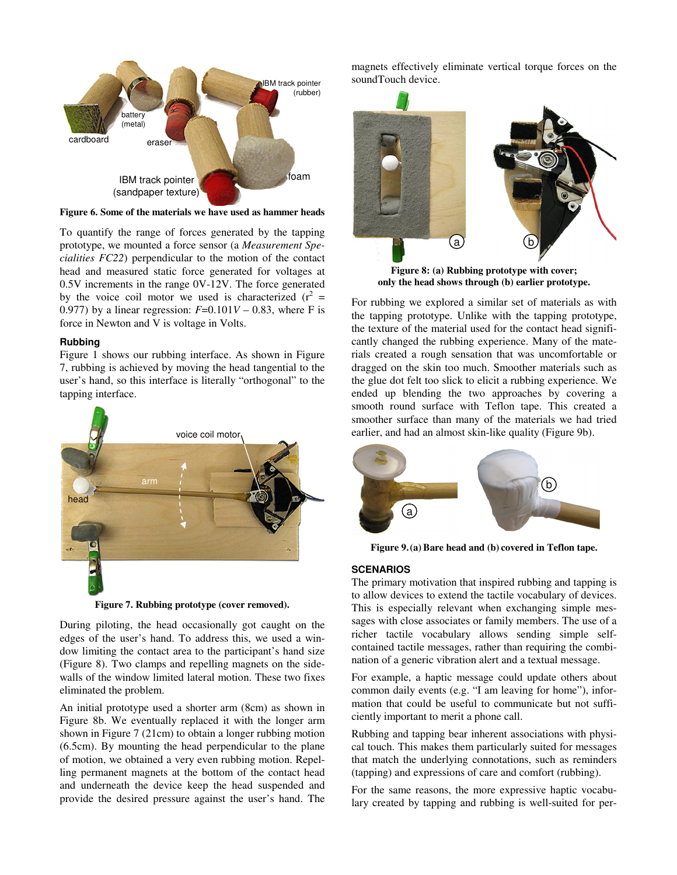

**Figure 6. Some of the materials we have used as hammer heads** 

To quantify the range of forces generated by the tapping prototype, we mounted a force sensor (a *Measurement Specialities FC22*) perpendicular to the motion of the contact head and measured static force generated for voltages at 0.5V increments in the range 0V-12V. The force generated by the voice coil motor we used is characterized  $(r^2 =$ 0.977) by a linear regression:  $F=0.101V - 0.83$ , where F is force in Newton and V is voltage in Volts.

## **Rubbing**

Figure 1 shows our rubbing interface. As shown in Figure 7, rubbing is achieved by moving the head tangential to the user's hand, so this interface is literally "orthogonal" to the tapping interface.



**Figure 7. Rubbing prototype (cover removed).** 

During piloting, the head occasionally got caught on the edges of the user's hand. To address this, we used a window limiting the contact area to the participant's hand size (Figure 8). Two clamps and repelling magnets on the sidewalls of the window limited lateral motion. These two fixes eliminated the problem.

An initial prototype used a shorter arm (8cm) as shown in Figure 8b. We eventually replaced it with the longer arm shown in Figure 7 (21cm) to obtain a longer rubbing motion (6.5cm). By mounting the head perpendicular to the plane of motion, we obtained a very even rubbing motion. Repelling permanent magnets at the bottom of the contact head and underneath the device keep the head suspended and provide the desired pressure against the user's hand. The magnets effectively eliminate vertical torque forces on the soundTouch device.



**Figure 8: (a) Rubbing prototype with cover; only the head shows through (b) earlier prototype.** 

For rubbing we explored a similar set of materials as with the tapping prototype. Unlike with the tapping prototype, the texture of the material used for the contact head significantly changed the rubbing experience. Many of the materials created a rough sensation that was uncomfortable or dragged on the skin too much. Smoother materials such as the glue dot felt too slick to elicit a rubbing experience. We ended up blending the two approaches by covering a smooth round surface with Teflon tape. This created a smoother surface than many of the materials we had tried earlier, and had an almost skin-like quality (Figure 9b).



**Figure 9.(a) Bare head and (b) covered in Teflon tape.** 

#### **SCENARIOS**

The primary motivation that inspired rubbing and tapping is to allow devices to extend the tactile vocabulary of devices. This is especially relevant when exchanging simple messages with close associates or family members. The use of a richer tactile vocabulary allows sending simple selfcontained tactile messages, rather than requiring the combination of a generic vibration alert and a textual message.

For example, a haptic message could update others about common daily events (e.g. "I am leaving for home"), information that could be useful to communicate but not sufficiently important to merit a phone call.

Rubbing and tapping bear inherent associations with physical touch. This makes them particularly suited for messages that match the underlying connotations, such as reminders (tapping) and expressions of care and comfort (rubbing).

For the same reasons, the more expressive haptic vocabulary created by tapping and rubbing is well-suited for per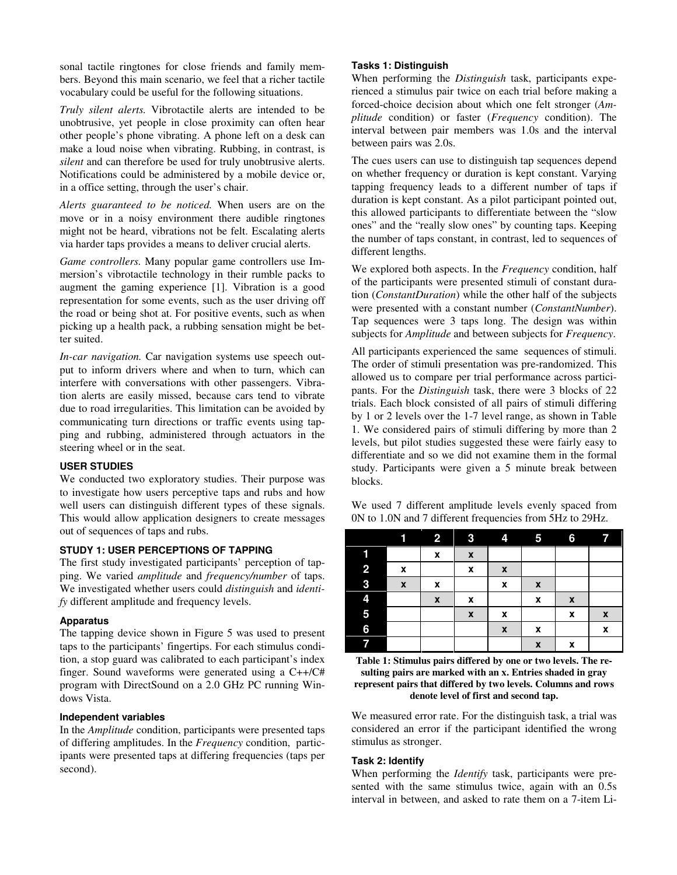sonal tactile ringtones for close friends and family members. Beyond this main scenario, we feel that a richer tactile vocabulary could be useful for the following situations.

*Truly silent alerts.* Vibrotactile alerts are intended to be unobtrusive, yet people in close proximity can often hear other people's phone vibrating. A phone left on a desk can make a loud noise when vibrating. Rubbing, in contrast, is *silent* and can therefore be used for truly unobtrusive alerts. Notifications could be administered by a mobile device or, in a office setting, through the user's chair.

*Alerts guaranteed to be noticed.* When users are on the move or in a noisy environment there audible ringtones might not be heard, vibrations not be felt. Escalating alerts via harder taps provides a means to deliver crucial alerts.

*Game controllers.* Many popular game controllers use Immersion's vibrotactile technology in their rumble packs to augment the gaming experience [1]. Vibration is a good representation for some events, such as the user driving off the road or being shot at. For positive events, such as when picking up a health pack, a rubbing sensation might be better suited.

*In-car navigation.* Car navigation systems use speech output to inform drivers where and when to turn, which can interfere with conversations with other passengers. Vibration alerts are easily missed, because cars tend to vibrate due to road irregularities. This limitation can be avoided by communicating turn directions or traffic events using tapping and rubbing, administered through actuators in the steering wheel or in the seat.

#### **USER STUDIES**

We conducted two exploratory studies. Their purpose was to investigate how users perceptive taps and rubs and how well users can distinguish different types of these signals. This would allow application designers to create messages out of sequences of taps and rubs.

## **STUDY 1: USER PERCEPTIONS OF TAPPING**

The first study investigated participants' perception of tapping. We varied *amplitude* and *frequency/number* of taps. We investigated whether users could *distinguish* and *identify* different amplitude and frequency levels.

#### **Apparatus**

The tapping device shown in Figure 5 was used to present taps to the participants' fingertips. For each stimulus condition, a stop guard was calibrated to each participant's index finger. Sound waveforms were generated using a C++/C# program with DirectSound on a 2.0 GHz PC running Windows Vista.

## **Independent variables**

In the *Amplitude* condition, participants were presented taps of differing amplitudes. In the *Frequency* condition, participants were presented taps at differing frequencies (taps per second).

## **Tasks 1: Distinguish**

When performing the *Distinguish* task, participants experienced a stimulus pair twice on each trial before making a forced-choice decision about which one felt stronger (*Amplitude* condition) or faster (*Frequency* condition). The interval between pair members was 1.0s and the interval between pairs was 2.0s.

The cues users can use to distinguish tap sequences depend on whether frequency or duration is kept constant. Varying tapping frequency leads to a different number of taps if duration is kept constant. As a pilot participant pointed out, this allowed participants to differentiate between the "slow ones" and the "really slow ones" by counting taps. Keeping the number of taps constant, in contrast, led to sequences of different lengths.

We explored both aspects. In the *Frequency* condition, half of the participants were presented stimuli of constant duration (*ConstantDuration*) while the other half of the subjects were presented with a constant number (*ConstantNumber*). Tap sequences were 3 taps long. The design was within subjects for *Amplitude* and between subjects for *Frequency*.

All participants experienced the same sequences of stimuli. The order of stimuli presentation was pre-randomized. This allowed us to compare per trial performance across participants. For the *Distinguish* task, there were 3 blocks of 22 trials. Each block consisted of all pairs of stimuli differing by 1 or 2 levels over the 1-7 level range, as shown in Table 1. We considered pairs of stimuli differing by more than 2 levels, but pilot studies suggested these were fairly easy to differentiate and so we did not examine them in the formal study. Participants were given a 5 minute break between blocks.

We used 7 different amplitude levels evenly spaced from 0N to 1.0N and 7 different frequencies from 5Hz to 29Hz.

|   |                  | 2                  | 3                  | 4                | $\overline{5}$     | 6            | 77                 |
|---|------------------|--------------------|--------------------|------------------|--------------------|--------------|--------------------|
|   |                  | $\pmb{\mathsf{x}}$ | $\pmb{\chi}$       |                  |                    |              |                    |
| 2 | X                |                    | X                  | $\boldsymbol{x}$ |                    |              |                    |
| 3 | $\boldsymbol{x}$ | X                  |                    | $\pmb{\chi}$     | $\boldsymbol{x}$   |              |                    |
| 4 |                  | $\pmb{\mathsf{x}}$ | X                  |                  | X                  | $\pmb{\chi}$ |                    |
| 5 |                  |                    | $\pmb{\mathsf{x}}$ | X                |                    | X            | $\pmb{\mathsf{x}}$ |
| 6 |                  |                    |                    | $\boldsymbol{x}$ | X                  |              | X                  |
|   |                  |                    |                    |                  | $\pmb{\mathsf{x}}$ | x            |                    |

**Table 1: Stimulus pairs differed by one or two levels. The resulting pairs are marked with an x. Entries shaded in gray represent pairs that differed by two levels. Columns and rows denote level of first and second tap.** 

We measured error rate. For the distinguish task, a trial was considered an error if the participant identified the wrong stimulus as stronger.

### **Task 2: Identify**

When performing the *Identify* task, participants were presented with the same stimulus twice, again with an 0.5s interval in between, and asked to rate them on a 7-item Li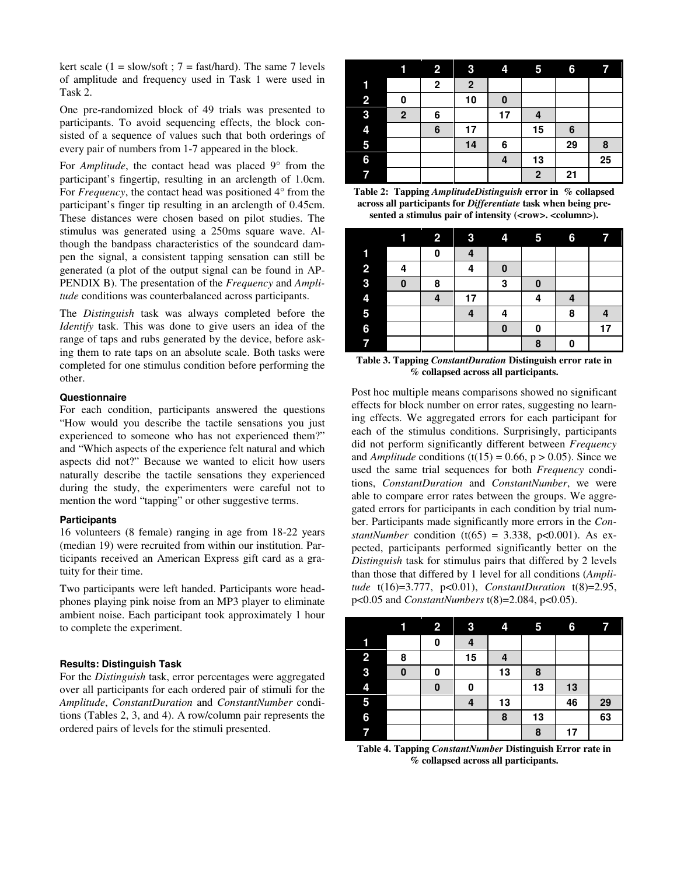kert scale (1 = slow/soft ;  $7 =$  fast/hard). The same 7 levels of amplitude and frequency used in Task 1 were used in Task 2.

One pre-randomized block of 49 trials was presented to participants. To avoid sequencing effects, the block consisted of a sequence of values such that both orderings of every pair of numbers from 1-7 appeared in the block.

For *Amplitude*, the contact head was placed 9° from the participant's fingertip, resulting in an arclength of 1.0cm. For *Frequency*, the contact head was positioned 4<sup>°</sup> from the participant's finger tip resulting in an arclength of 0.45cm. These distances were chosen based on pilot studies. The stimulus was generated using a 250ms square wave. Although the bandpass characteristics of the soundcard dampen the signal, a consistent tapping sensation can still be generated (a plot of the output signal can be found in AP-PENDIX B). The presentation of the *Frequency* and *Amplitude* conditions was counterbalanced across participants.

The *Distinguish* task was always completed before the *Identify* task. This was done to give users an idea of the range of taps and rubs generated by the device, before asking them to rate taps on an absolute scale. Both tasks were completed for one stimulus condition before performing the other.

#### **Questionnaire**

For each condition, participants answered the questions "How would you describe the tactile sensations you just experienced to someone who has not experienced them?" and "Which aspects of the experience felt natural and which aspects did not?" Because we wanted to elicit how users naturally describe the tactile sensations they experienced during the study, the experimenters were careful not to mention the word "tapping" or other suggestive terms.

#### **Participants**

16 volunteers (8 female) ranging in age from 18-22 years (median 19) were recruited from within our institution. Participants received an American Express gift card as a gratuity for their time.

Two participants were left handed. Participants wore headphones playing pink noise from an MP3 player to eliminate ambient noise. Each participant took approximately 1 hour to complete the experiment.

## **Results: Distinguish Task**

For the *Distinguish* task, error percentages were aggregated over all participants for each ordered pair of stimuli for the *Amplitude*, *ConstantDuration* and *ConstantNumber* conditions (Tables 2, 3, and 4). A row/column pair represents the ordered pairs of levels for the stimuli presented.

|                | íl           | $\overline{2}$ | 3           | 4        | 5                       | 6  | 7  |
|----------------|--------------|----------------|-------------|----------|-------------------------|----|----|
| 1              |              | $\mathbf 2$    | $\mathbf 2$ |          |                         |    |    |
| $\overline{2}$ | 0            |                | 10          | $\bf{0}$ |                         |    |    |
| 3              | $\mathbf{2}$ | 6              |             | 17       | 4                       |    |    |
| 4              |              | 6              | 17          |          | 15                      | 6  |    |
| 5              |              |                | 14          | 6        |                         | 29 | 8  |
| 6              |              |                |             | 4        | 13                      |    | 25 |
| 7              |              |                |             |          | $\overline{\mathbf{2}}$ | 21 |    |

**Table 2: Tapping** *AmplitudeDistinguish* **error in****% collapsed across all participants for** *Differentiate* **task when being pre**sented a stimulus pair of intensity (<row>. <column>).

|                         |   | $\overline{\mathbf{2}}$ | 3  | 4 | 5        | 6 | 7  |
|-------------------------|---|-------------------------|----|---|----------|---|----|
|                         |   | 0                       | 4  |   |          |   |    |
| $\overline{\mathbf{2}}$ | 4 |                         | 4  | 0 |          |   |    |
| 3                       | 0 | 8                       |    | 3 | $\bf{0}$ |   |    |
| 4                       |   | 4                       | 17 |   | 4        | 4 |    |
| 5                       |   |                         | 4  | 4 |          | 8 |    |
| 6                       |   |                         |    | 0 | 0        |   | 17 |
|                         |   |                         |    |   | 8        | 0 |    |

**Table 3. Tapping** *ConstantDuration* **Distinguish error rate in % collapsed across all participants.** 

Post hoc multiple means comparisons showed no significant effects for block number on error rates, suggesting no learning effects. We aggregated errors for each participant for each of the stimulus conditions. Surprisingly, participants did not perform significantly different between *Frequency*  and *Amplitude* conditions (t(15) = 0.66,  $p > 0.05$ ). Since we used the same trial sequences for both *Frequency* conditions, *ConstantDuration* and *ConstantNumber*, we were able to compare error rates between the groups. We aggregated errors for participants in each condition by trial number. Participants made significantly more errors in the *ConstantNumber* condition (t(65) = 3.338, p<0.001). As expected, participants performed significantly better on the *Distinguish* task for stimulus pairs that differed by 2 levels than those that differed by 1 level for all conditions (*Amplitude* t(16)=3.777, p<0.01), *ConstantDuration* t(8)=2.95, p<0.05 and *ConstantNumbers* t(8)=2.084, p<0.05).

|                |          | 2 | 3  | 4  | 5  | 6  | 77 |
|----------------|----------|---|----|----|----|----|----|
| 1              |          | 0 | 4  |    |    |    |    |
| $\overline{2}$ | 8        |   | 15 |    |    |    |    |
| 3              | $\bf{0}$ | 0 |    | 13 | 8  |    |    |
| 4              |          | 0 | 0  |    | 13 | 13 |    |
| 5              |          |   |    | 13 |    | 46 | 29 |
| 6              |          |   |    | 8  | 13 |    | 63 |
|                |          |   |    |    | 8  | 17 |    |

**Table 4. Tapping** *ConstantNumber* **Distinguish Error rate in % collapsed across all participants.**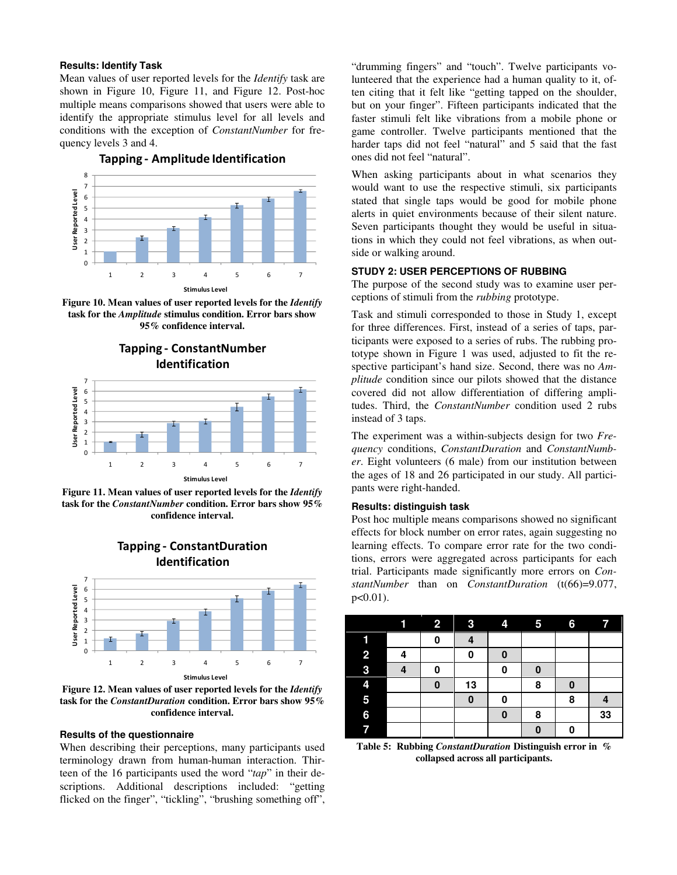### **Results: Identify Task**

Mean values of user reported levels for the *Identify* task are shown in Figure 10, Figure 11, and Figure 12. Post-hoc multiple means comparisons showed that users were able to identify the appropriate stimulus level for all levels and conditions with the exception of *ConstantNumber* for frequency levels 3 and 4.



Tapping - Amplitude Identification

**Figure 10. Mean values of user reported levels for the** *Identify* **task for the** *Amplitude* **stimulus condition. Error bars show 95% confidence interval.** 





**Figure 11. Mean values of user reported levels for the** *Identify* **task for the** *ConstantNumber* **condition. Error bars show 95% confidence interval.** 

Tapping - ConstantDuration



**Figure 12. Mean values of user reported levels for the** *Identify* **task for the** *ConstantDuration* **condition. Error bars show 95% confidence interval.** 

#### **Results of the questionnaire**

When describing their perceptions, many participants used terminology drawn from human-human interaction. Thirteen of the 16 participants used the word "*tap*" in their descriptions. Additional descriptions included: "getting flicked on the finger", "tickling", "brushing something off",

"drumming fingers" and "touch". Twelve participants volunteered that the experience had a human quality to it, often citing that it felt like "getting tapped on the shoulder, but on your finger". Fifteen participants indicated that the faster stimuli felt like vibrations from a mobile phone or game controller. Twelve participants mentioned that the harder taps did not feel "natural" and 5 said that the fast ones did not feel "natural".

When asking participants about in what scenarios they would want to use the respective stimuli, six participants stated that single taps would be good for mobile phone alerts in quiet environments because of their silent nature. Seven participants thought they would be useful in situations in which they could not feel vibrations, as when outside or walking around.

## **STUDY 2: USER PERCEPTIONS OF RUBBING**

The purpose of the second study was to examine user perceptions of stimuli from the *rubbing* prototype.

Task and stimuli corresponded to those in Study 1, except for three differences. First, instead of a series of taps, participants were exposed to a series of rubs. The rubbing prototype shown in Figure 1 was used, adjusted to fit the respective participant's hand size. Second, there was no *Amplitude* condition since our pilots showed that the distance covered did not allow differentiation of differing amplitudes. Third, the *ConstantNumber* condition used 2 rubs instead of 3 taps.

The experiment was a within-subjects design for two *Frequency* conditions, *ConstantDuration* and *ConstantNumber*. Eight volunteers (6 male) from our institution between the ages of 18 and 26 participated in our study. All participants were right-handed.

#### **Results: distinguish task**

Post hoc multiple means comparisons showed no significant effects for block number on error rates, again suggesting no learning effects. To compare error rate for the two conditions, errors were aggregated across participants for each trial. Participants made significantly more errors on *ConstantNumber* than on *ConstantDuration* (t(66)=9.077,  $p<0.01$ ).

|   | í | $\overline{2}$ | $\overline{3}$ | 4 | 61       | $6\phantom{.}6$ | 7  |
|---|---|----------------|----------------|---|----------|-----------------|----|
|   |   | 0              |                |   |          |                 |    |
| 2 | Δ |                | 0              | 0 |          |                 |    |
| 3 |   | 0              |                | 0 | 0        |                 |    |
| 4 |   | $\bf{0}$       | 13             |   | 8        |                 |    |
| 5 |   |                | $\bf{0}$       | 0 |          | 8               |    |
| 6 |   |                |                | 0 | 8        |                 | 33 |
|   |   |                |                |   | $\bf{0}$ | 0               |    |

**Table 5: Rubbing** *ConstantDuration* **Distinguish error in****% collapsed across all participants.**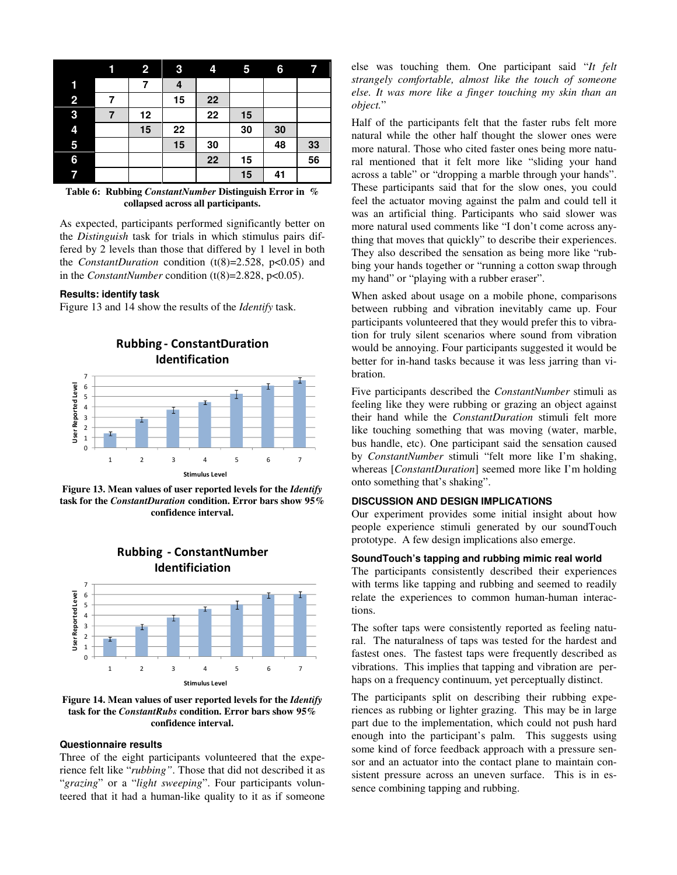|                | 1 | $\overline{2}$ | 3  | 4  | 5  | 6  | $\overline{\mathbf{r}}$ |
|----------------|---|----------------|----|----|----|----|-------------------------|
| 1              |   | 7              | 4  |    |    |    |                         |
| $\overline{2}$ |   |                | 15 | 22 |    |    |                         |
| 3              | 7 | 12             |    | 22 | 15 |    |                         |
| 4              |   | 15             | 22 |    | 30 | 30 |                         |
| 5              |   |                | 15 | 30 |    | 48 | 33                      |
| 6              |   |                |    | 22 | 15 |    | 56                      |
| 7              |   |                |    |    | 15 | 41 |                         |

**Table 6: Rubbing** *ConstantNumber* **Distinguish Error in****% collapsed across all participants.** 

As expected, participants performed significantly better on the *Distinguish* task for trials in which stimulus pairs differed by 2 levels than those that differed by 1 level in both the *ConstantDuration* condition  $(t(8)=2.528, p<0.05)$  and in the *ConstantNumber* condition (t(8)=2.828, p<0.05).

#### **Results: identify task**

Figure 13 and 14 show the results of the *Identify* task.



**Figure 13. Mean values of user reported levels for the** *Identify* **task for the** *ConstantDuration* **condition. Error bars show 95% confidence interval.** 



**Figure 14. Mean values of user reported levels for the** *Identify* **task for the** *ConstantRubs* **condition. Error bars show 95% confidence interval.** 

## **Questionnaire results**

Three of the eight participants volunteered that the experience felt like "*rubbing"*. Those that did not described it as "*grazing*" or a "*light sweeping*". Four participants volunteered that it had a human-like quality to it as if someone else was touching them. One participant said "*It felt strangely comfortable, almost like the touch of someone else. It was more like a finger touching my skin than an object.*"

Half of the participants felt that the faster rubs felt more natural while the other half thought the slower ones were more natural. Those who cited faster ones being more natural mentioned that it felt more like "sliding your hand across a table" or "dropping a marble through your hands". These participants said that for the slow ones, you could feel the actuator moving against the palm and could tell it was an artificial thing. Participants who said slower was more natural used comments like "I don't come across anything that moves that quickly" to describe their experiences. They also described the sensation as being more like "rubbing your hands together or "running a cotton swap through my hand" or "playing with a rubber eraser".

When asked about usage on a mobile phone, comparisons between rubbing and vibration inevitably came up. Four participants volunteered that they would prefer this to vibration for truly silent scenarios where sound from vibration would be annoying. Four participants suggested it would be better for in-hand tasks because it was less jarring than vibration.

Five participants described the *ConstantNumber* stimuli as feeling like they were rubbing or grazing an object against their hand while the *ConstantDuration* stimuli felt more like touching something that was moving (water, marble, bus handle, etc). One participant said the sensation caused by *ConstantNumber* stimuli "felt more like I'm shaking, whereas [*ConstantDuration*] seemed more like I'm holding onto something that's shaking".

#### **DISCUSSION AND DESIGN IMPLICATIONS**

Our experiment provides some initial insight about how people experience stimuli generated by our soundTouch prototype. A few design implications also emerge.

# **SoundTouch's tapping and rubbing mimic real world**

The participants consistently described their experiences with terms like tapping and rubbing and seemed to readily relate the experiences to common human-human interactions.

The softer taps were consistently reported as feeling natural. The naturalness of taps was tested for the hardest and fastest ones. The fastest taps were frequently described as vibrations. This implies that tapping and vibration are perhaps on a frequency continuum, yet perceptually distinct.

The participants split on describing their rubbing experiences as rubbing or lighter grazing. This may be in large part due to the implementation, which could not push hard enough into the participant's palm. This suggests using some kind of force feedback approach with a pressure sensor and an actuator into the contact plane to maintain consistent pressure across an uneven surface. This is in essence combining tapping and rubbing.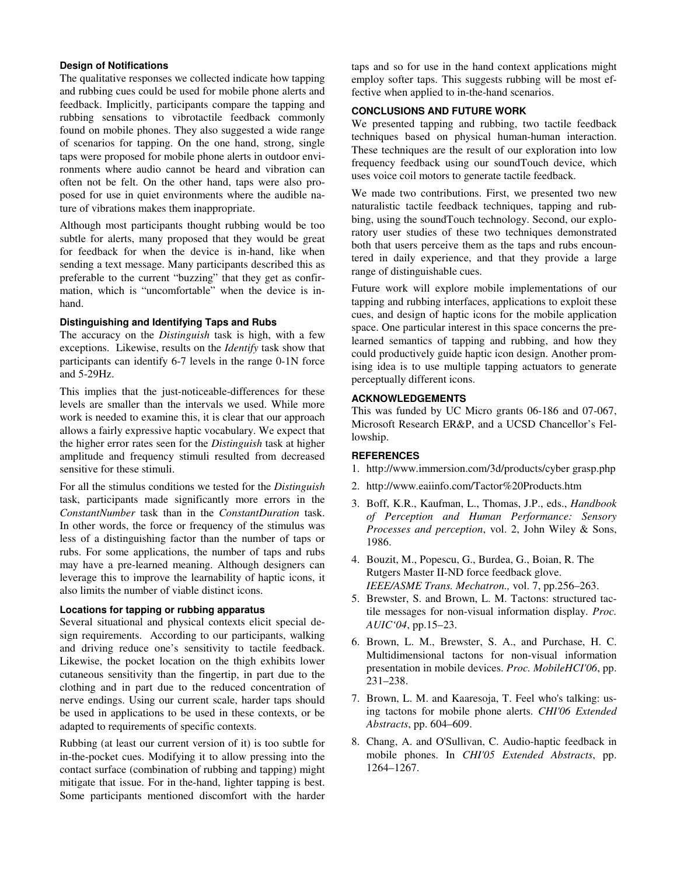## **Design of Notifications**

The qualitative responses we collected indicate how tapping and rubbing cues could be used for mobile phone alerts and feedback. Implicitly, participants compare the tapping and rubbing sensations to vibrotactile feedback commonly found on mobile phones. They also suggested a wide range of scenarios for tapping. On the one hand, strong, single taps were proposed for mobile phone alerts in outdoor environments where audio cannot be heard and vibration can often not be felt. On the other hand, taps were also proposed for use in quiet environments where the audible nature of vibrations makes them inappropriate.

Although most participants thought rubbing would be too subtle for alerts, many proposed that they would be great for feedback for when the device is in-hand, like when sending a text message. Many participants described this as preferable to the current "buzzing" that they get as confirmation, which is "uncomfortable" when the device is inhand.

## **Distinguishing and Identifying Taps and Rubs**

The accuracy on the *Distinguish* task is high, with a few exceptions. Likewise, results on the *Identify* task show that participants can identify 6-7 levels in the range 0-1N force and 5-29Hz.

This implies that the just-noticeable-differences for these levels are smaller than the intervals we used. While more work is needed to examine this, it is clear that our approach allows a fairly expressive haptic vocabulary. We expect that the higher error rates seen for the *Distinguish* task at higher amplitude and frequency stimuli resulted from decreased sensitive for these stimuli.

For all the stimulus conditions we tested for the *Distinguish* task, participants made significantly more errors in the *ConstantNumber* task than in the *ConstantDuration* task. In other words, the force or frequency of the stimulus was less of a distinguishing factor than the number of taps or rubs. For some applications, the number of taps and rubs may have a pre-learned meaning. Although designers can leverage this to improve the learnability of haptic icons, it also limits the number of viable distinct icons.

## **Locations for tapping or rubbing apparatus**

Several situational and physical contexts elicit special design requirements. According to our participants, walking and driving reduce one's sensitivity to tactile feedback. Likewise, the pocket location on the thigh exhibits lower cutaneous sensitivity than the fingertip, in part due to the clothing and in part due to the reduced concentration of nerve endings. Using our current scale, harder taps should be used in applications to be used in these contexts, or be adapted to requirements of specific contexts.

Rubbing (at least our current version of it) is too subtle for in-the-pocket cues. Modifying it to allow pressing into the contact surface (combination of rubbing and tapping) might mitigate that issue. For in the-hand, lighter tapping is best. Some participants mentioned discomfort with the harder

taps and so for use in the hand context applications might employ softer taps. This suggests rubbing will be most effective when applied to in-the-hand scenarios.

## **CONCLUSIONS AND FUTURE WORK**

We presented tapping and rubbing, two tactile feedback techniques based on physical human-human interaction. These techniques are the result of our exploration into low frequency feedback using our soundTouch device, which uses voice coil motors to generate tactile feedback.

We made two contributions. First, we presented two new naturalistic tactile feedback techniques, tapping and rubbing, using the soundTouch technology. Second, our exploratory user studies of these two techniques demonstrated both that users perceive them as the taps and rubs encountered in daily experience, and that they provide a large range of distinguishable cues.

Future work will explore mobile implementations of our tapping and rubbing interfaces, applications to exploit these cues, and design of haptic icons for the mobile application space. One particular interest in this space concerns the prelearned semantics of tapping and rubbing, and how they could productively guide haptic icon design. Another promising idea is to use multiple tapping actuators to generate perceptually different icons.

## **ACKNOWLEDGEMENTS**

This was funded by UC Micro grants 06-186 and 07-067, Microsoft Research ER&P, and a UCSD Chancellor's Fellowship.

## **REFERENCES**

- 1. http://www.immersion.com/3d/products/cyber grasp.php
- 2. http://www.eaiinfo.com/Tactor%20Products.htm
- 3. Boff, K.R., Kaufman, L., Thomas, J.P., eds., *Handbook of Perception and Human Performance: Sensory Processes and perception*, vol. 2, John Wiley & Sons, 1986.
- 4. Bouzit, M., Popescu, G., Burdea, G., Boian, R. The Rutgers Master II-ND force feedback glove. *IEEE/ASME Trans. Mechatron.,* vol. 7, pp.256–263.
- 5. Brewster, S. and Brown, L. M. Tactons: structured tactile messages for non-visual information display. *Proc. AUIC'04*, pp.15–23.
- 6. Brown, L. M., Brewster, S. A., and Purchase, H. C. Multidimensional tactons for non-visual information presentation in mobile devices. *Proc. MobileHCI'06*, pp. 231–238.
- 7. Brown, L. M. and Kaaresoja, T. Feel who's talking: using tactons for mobile phone alerts. *CHI'06 Extended Abstracts*, pp. 604–609.
- 8. Chang, A. and O'Sullivan, C. Audio-haptic feedback in mobile phones. In *CHI'05 Extended Abstracts*, pp. 1264–1267.